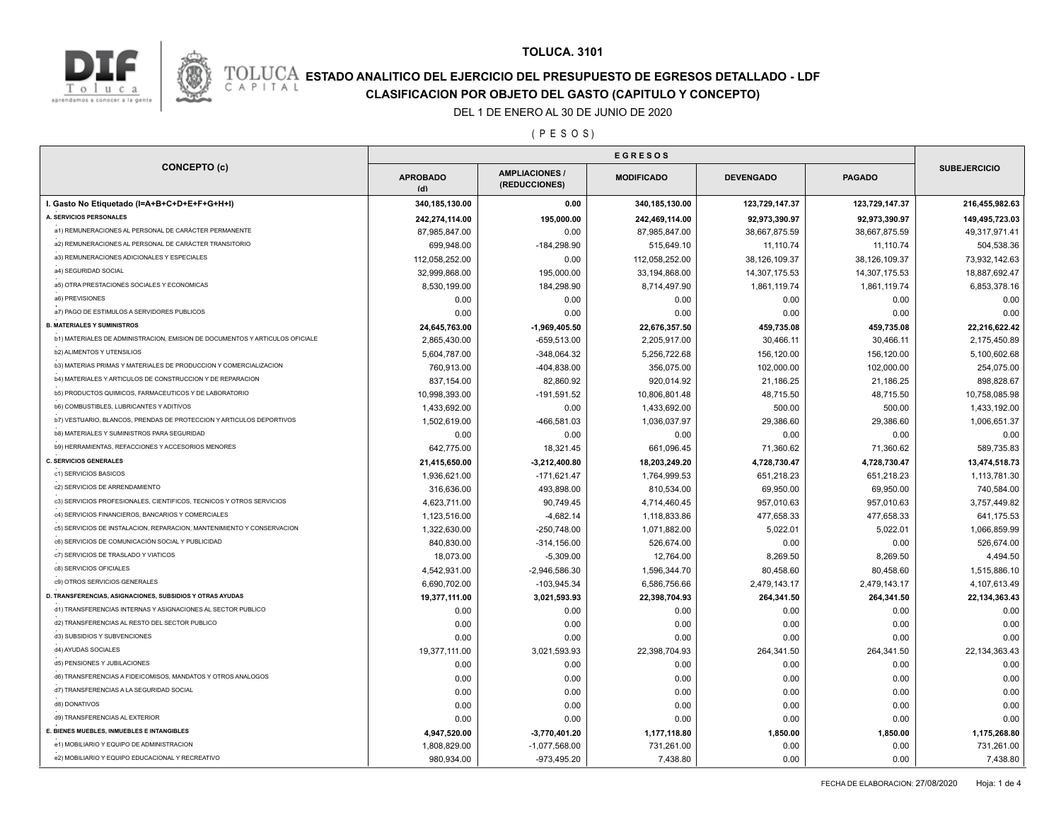

## **ESTADO ANALITICO DEL EJERCICIO DEL PRESUPUESTO DE EGRESOS DETALLADO - LDF**<br>CAPITAL CIASIFICACION POR OBJETO DEL GASTO (CAPITULO Y CONCEPTO) **CLASIFICACION POR OBJETO DEL GASTO (CAPITULO Y CONCEPTO)**

#### DEL 1 DE ENERO AL 30 DE JUNIO DE 2020

( P E S O S )

| <b>CONCEPTO (c)</b>                                                          | <b>EGRESOS</b>         |                                        |                   |                  |                |                     |
|------------------------------------------------------------------------------|------------------------|----------------------------------------|-------------------|------------------|----------------|---------------------|
|                                                                              | <b>APROBADO</b><br>(d) | <b>AMPLIACIONES /</b><br>(REDUCCIONES) | <b>MODIFICADO</b> | <b>DEVENGADO</b> | <b>PAGADO</b>  | <b>SUBEJERCICIO</b> |
| I. Gasto No Etiquetado (I=A+B+C+D+E+F+G+H+I)                                 | 340, 185, 130.00       | 0.00                                   | 340,185,130.00    | 123,729,147.37   | 123,729,147.37 | 216,455,982.63      |
| A. SERVICIOS PERSONALES                                                      | 242,274,114.00         | 195,000.00                             | 242,469,114.00    | 92,973,390.97    | 92,973,390.97  | 149,495,723.03      |
| a1) REMUNERACIONES AL PERSONAL DE CARÁCTER PERMANENTE                        | 87,985,847.00          | 0.00                                   | 87,985,847.00     | 38,667,875.59    | 38,667,875.59  | 49,317,971.41       |
| a2) REMUNERACIONES AL PERSONAL DE CARÁCTER TRANSITORIO                       | 699,948.00             | -184,298.90                            | 515,649.10        | 11,110.74        | 11,110.74      | 504,538.36          |
| a3) REMUNERACIONES ADICIONALES Y ESPECIALES                                  | 112,058,252.00         | 0.00                                   | 112,058,252.00    | 38,126,109.37    | 38,126,109.37  | 73,932,142.63       |
| a4) SEGURIDAD SOCIAL                                                         | 32,999,868.00          | 195,000.00                             | 33,194,868.00     | 14,307,175.53    | 14,307,175.53  | 18,887,692.47       |
| a5) OTRA PRESTACIONES SOCIALES Y ECONOMICAS                                  | 8,530,199.00           | 184,298.90                             | 8,714,497.90      | 1,861,119.74     | 1,861,119.74   | 6,853,378.16        |
| a6) PREVISIONES                                                              | 0.00                   | 0.00                                   | 0.00              | 0.00             | 0.00           | 0.00                |
| a7) PAGO DE ESTIMULOS A SERVIDORES PUBLICOS                                  | 0.00                   | 0.00                                   | 0.00              | 0.00             | 0.00           | 0.00                |
| <b>B. MATERIALES Y SUMINISTROS</b>                                           | 24,645,763.00          | $-1,969,405.50$                        | 22,676,357.50     | 459,735.08       | 459,735.08     | 22,216,622.42       |
| b1) MATERIALES DE ADMINISTRACION, EMISION DE DOCUMENTOS Y ARTICULOS OFICIALE | 2,865,430.00           | $-659,513.00$                          | 2,205,917.00      | 30,466.11        | 30,466.11      | 2,175,450.89        |
| <b>b2) ALIMENTOS Y UTENSILIOS</b>                                            | 5,604,787.00           | $-348,064.32$                          | 5,256,722.68      | 156,120.00       | 156,120.00     | 5,100,602.68        |
| b3) MATERIAS PRIMAS Y MATERIALES DE PRODUCCION Y COMERCIALIZACION            | 760,913.00             | -404,838.00                            | 356,075.00        | 102,000.00       | 102,000.00     | 254,075.00          |
| b4) MATERIALES Y ARTICULOS DE CONSTRUCCION Y DE REPARACION                   | 837,154.00             | 82,860.92                              | 920,014.92        | 21,186.25        | 21,186.25      | 898,828.67          |
| b5) PRODUCTOS QUIMICOS, FARMACEUTICOS Y DE LABORATORIO                       | 10,998,393.00          | $-191,591.52$                          | 10,806,801.48     | 48,715.50        | 48,715.50      | 10,758,085.98       |
| <b>b6) COMBUSTIBLES, LUBRICANTES Y ADITIVOS</b>                              | 1,433,692.00           | 0.00                                   | 1,433,692.00      | 500.00           | 500.00         | 1,433,192.00        |
| b7) VESTUARIO, BLANCOS, PRENDAS DE PROTECCION Y ARTICULOS DEPORTIVOS         | 1,502,619.00           | -466,581.03                            | 1,036,037.97      | 29,386.60        | 29,386.60      | 1,006,651.37        |
| <b>b8) MATERIALES Y SUMINISTROS PARA SEGURIDAD</b>                           | 0.00                   | 0.00                                   | 0.00              | 0.00             | 0.00           | 0.00                |
| b9) HERRAMIENTAS, REFACCIONES Y ACCESORIOS MENORES                           | 642,775.00             | 18,321.45                              | 661,096.45        | 71,360.62        | 71,360.62      | 589,735.83          |
| <b>C. SERVICIOS GENERALES</b>                                                | 21,415,650.00          | $-3,212,400.80$                        | 18,203,249.20     | 4,728,730.47     | 4,728,730.47   | 13,474,518.73       |
| c1) SERVICIOS BASICOS                                                        | 1,936,621.00           | $-171,621.47$                          | 1,764,999.53      | 651,218.23       | 651,218.23     | 1,113,781.30        |
| c2) SERVICIOS DE ARRENDAMIENTO                                               | 316,636.00             | 493,898.00                             | 810,534.00        | 69,950.00        | 69,950.00      | 740,584.00          |
| c3) SERVICIOS PROFESIONALES, CIENTIFICOS, TECNICOS Y OTROS SERVICIOS         | 4,623,711.00           | 90,749.45                              | 4,714,460.45      | 957,010.63       | 957,010.63     | 3,757,449.82        |
| c4) SERVICIOS FINANCIEROS, BANCARIOS Y COMERCIALES                           | 1,123,516.00           | $-4,682.14$                            | 1,118,833.86      | 477,658.33       | 477,658.33     | 641,175.53          |
| c5) SERVICIOS DE INSTALACION, REPARACION, MANTENIMIENTO Y CONSERVACION       | 1,322,630.00           | $-250,748.00$                          | 1,071,882.00      | 5,022.01         | 5,022.01       | 1,066,859.99        |
| c6) SERVICIOS DE COMUNICACIÓN SOCIAL Y PUBLICIDAD                            | 840,830.00             | $-314, 156.00$                         | 526,674.00        | 0.00             | 0.00           | 526,674.00          |
| c7) SERVICIOS DE TRASLADO Y VIATICOS                                         | 18,073.00              | $-5,309.00$                            | 12,764.00         | 8,269.50         | 8,269.50       | 4,494.50            |
| c8) SERVICIOS OFICIALES                                                      | 4,542,931.00           | $-2,946,586.30$                        | 1,596,344.70      | 80,458.60        | 80,458.60      | 1,515,886.10        |
| c9) OTROS SERVICIOS GENERALES                                                | 6,690,702.00           | $-103,945.34$                          | 6,586,756.66      | 2,479,143.17     | 2,479,143.17   | 4,107,613.49        |
| D. TRANSFERENCIAS, ASIGNACIONES, SUBSIDIOS Y OTRAS AYUDAS                    | 19,377,111.00          | 3,021,593.93                           | 22,398,704.93     | 264,341.50       | 264,341.50     | 22, 134, 363. 43    |
| d1) TRANSFERENCIAS INTERNAS Y ASIGNACIONES AL SECTOR PUBLICO                 | 0.00                   | 0.00                                   | 0.00              | 0.00             | 0.00           | 0.00                |
| d2) TRANSFERENCIAS AL RESTO DEL SECTOR PUBLICO                               | 0.00                   | 0.00                                   | 0.00              | 0.00             | 0.00           | 0.00                |
| d3) SUBSIDIOS Y SUBVENCIONES                                                 | 0.00                   | 0.00                                   | 0.00              | 0.00             | 0.00           | 0.00                |
| d4) AYUDAS SOCIALES                                                          | 19,377,111.00          | 3,021,593.93                           | 22,398,704.93     | 264,341.50       | 264,341.50     | 22, 134, 363. 43    |
| d5) PENSIONES Y JUBILACIONES                                                 | 0.00                   | 0.00                                   | 0.00              | 0.00             | 0.00           | 0.00                |
| d6) TRANSFERENCIAS A FIDEICOMISOS, MANDATOS Y OTROS ANALOGOS                 | 0.00                   | 0.00                                   | 0.00              | 0.00             | 0.00           | 0.00                |
| d7) TRANSFERENCIAS A LA SEGURIDAD SOCIAL                                     | 0.00                   | 0.00                                   | 0.00              | 0.00             | 0.00           | 0.00                |
| d8) DONATIVOS                                                                | 0.00                   | 0.00                                   | 0.00              | 0.00             | 0.00           | 0.00                |
| d9) TRANSFERENCIAS AL EXTERIOR                                               | 0.00                   | 0.00                                   | 0.00              | 0.00             | 0.00           | 0.00                |
| E. BIENES MUEBLES, INMUEBLES E INTANGIBLES                                   | 4,947,520.00           | $-3,770,401.20$                        | 1,177,118.80      | 1,850.00         | 1,850.00       | 1,175,268.80        |
| e1) MOBILIARIO Y EQUIPO DE ADMINISTRACION                                    | 1,808,829.00           | $-1,077,568.00$                        | 731,261.00        | 0.00             | 0.00           | 731,261.00          |
| e2) MOBILIARIO Y EQUIPO EDUCACIONAL Y RECREATIVO                             | 980,934.00             | -973,495.20                            | 7,438.80          | 0.00             | 0.00           | 7,438.80            |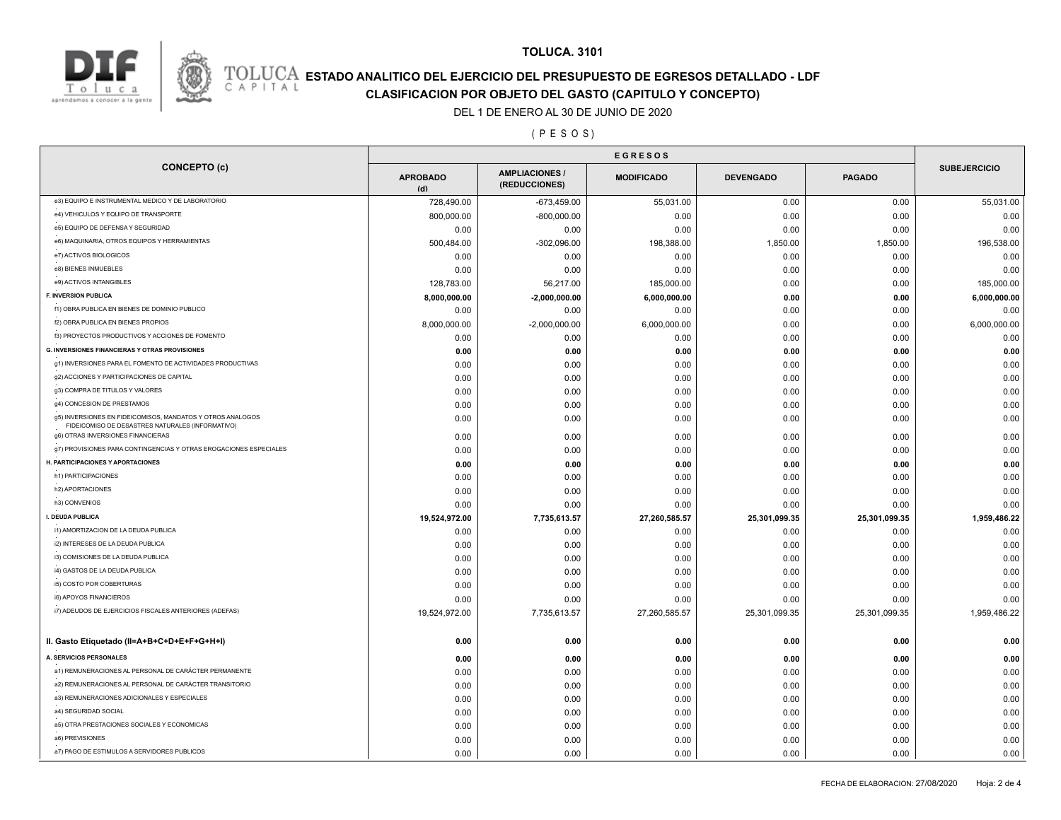



# **ESTADO ANALITICO DEL EJERCICIO DEL PRESUPUESTO DE EGRESOS DETALLADO - LDF**<br>CAPITAL CIASIFICACION POR OBJETO DEL GASTO (CAPITULO Y CONCEPTO) **CLASIFICACION POR OBJETO DEL GASTO (CAPITULO Y CONCEPTO)**

#### DEL 1 DE ENERO AL 30 DE JUNIO DE 2020

#### ( P E S O S )

| <b>CONCEPTO (c)</b>                                                                                            | <b>APROBADO</b><br>(d) | <b>AMPLIACIONES/</b><br>(REDUCCIONES) | <b>MODIFICADO</b> | <b>DEVENGADO</b> | <b>PAGADO</b> | <b>SUBEJERCICIO</b> |
|----------------------------------------------------------------------------------------------------------------|------------------------|---------------------------------------|-------------------|------------------|---------------|---------------------|
| e3) EQUIPO E INSTRUMENTAL MEDICO Y DE LABORATORIO                                                              | 728,490.00             | $-673,459.00$                         | 55,031.00         | 0.00             | 0.00          | 55,031.00           |
| e4) VEHICULOS Y EQUIPO DE TRANSPORTE                                                                           | 800,000.00             | $-800,000.00$                         | 0.00              | 0.00             | 0.00          | 0.00                |
| e5) EQUIPO DE DEFENSA Y SEGURIDAD                                                                              | 0.00                   | 0.00                                  | 0.00              | 0.00             | 0.00          | 0.00                |
| e6) MAQUINARIA, OTROS EQUIPOS Y HERRAMIENTAS                                                                   | 500,484.00             | $-302,096.00$                         | 198,388.00        | 1,850.00         | 1,850.00      | 196,538.00          |
| e7) ACTIVOS BIOLOGICOS                                                                                         | 0.00                   | 0.00                                  | 0.00              | 0.00             | 0.00          | 0.00                |
| e8) BIENES INMUEBLES                                                                                           | 0.00                   | 0.00                                  | 0.00              | 0.00             | 0.00          | 0.00                |
| e9) ACTIVOS INTANGIBLES                                                                                        | 128,783.00             | 56,217.00                             | 185,000.00        | 0.00             | 0.00          | 185,000.00          |
| F. INVERSION PUBLICA                                                                                           | 8,000,000.00           | $-2,000,000.00$                       | 6,000,000.00      | 0.00             | 0.00          | 6,000,000.00        |
| f1) OBRA PUBLICA EN BIENES DE DOMINIO PUBLICO                                                                  | 0.00                   | 0.00                                  | 0.00              | 0.00             | 0.00          | 0.00                |
| f2) OBRA PUBLICA EN BIENES PROPIOS                                                                             | 8,000,000.00           | $-2,000,000.00$                       | 6,000,000.00      | 0.00             | 0.00          | 6,000,000.00        |
| f3) PROYECTOS PRODUCTIVOS Y ACCIONES DE FOMENTO                                                                | 0.00                   | 0.00                                  | 0.00              | 0.00             | 0.00          | 0.00                |
| <b>G. INVERSIONES FINANCIERAS Y OTRAS PROVISIONES</b>                                                          | 0.00                   | 0.00                                  | 0.00              | 0.00             | 0.00          | 0.00                |
| g1) INVERSIONES PARA EL FOMENTO DE ACTIVIDADES PRODUCTIVAS                                                     | 0.00                   | 0.00                                  | 0.00              | 0.00             | 0.00          | 0.00                |
| g2) ACCIONES Y PARTICIPACIONES DE CAPITAL                                                                      | 0.00                   | 0.00                                  | 0.00              | 0.00             | 0.00          | 0.00                |
| g3) COMPRA DE TITULOS Y VALORES                                                                                | 0.00                   | 0.00                                  | 0.00              | 0.00             | 0.00          | 0.00                |
| g4) CONCESION DE PRESTAMOS                                                                                     | 0.00                   | 0.00                                  | 0.00              | 0.00             | 0.00          | 0.00                |
| g5) INVERSIONES EN FIDEICOMISOS, MANDATOS Y OTROS ANALOGOS<br>FIDEICOMISO DE DESASTRES NATURALES (INFORMATIVO) | 0.00                   | 0.00                                  | 0.00              | 0.00             | 0.00          | 0.00                |
| g6) OTRAS INVERSIONES FINANCIERAS                                                                              | 0.00                   | 0.00                                  | 0.00              | 0.00             | 0.00          | 0.00                |
| g7) PROVISIONES PARA CONTINGENCIAS Y OTRAS EROGACIONES ESPECIALES                                              | 0.00                   | 0.00                                  | 0.00              | 0.00             | 0.00          | 0.00                |
| H. PARTICIPACIONES Y APORTACIONES                                                                              | 0.00                   | 0.00                                  | 0.00              | 0.00             | 0.00          | 0.00                |
| h1) PARTICIPACIONES                                                                                            | 0.00                   | 0.00                                  | 0.00              | 0.00             | 0.00          | 0.00                |
| h2) APORTACIONES                                                                                               | 0.00                   | 0.00                                  | 0.00              | 0.00             | 0.00          | 0.00                |
| h3) CONVENIOS                                                                                                  | 0.00                   | 0.00                                  | 0.00              | 0.00             | 0.00          | 0.00                |
| I. DEUDA PUBLICA                                                                                               | 19,524,972.00          | 7,735,613.57                          | 27,260,585.57     | 25,301,099.35    | 25,301,099.35 | 1,959,486.22        |
| i1) AMORTIZACION DE LA DEUDA PUBLICA                                                                           | 0.00                   | 0.00                                  | 0.00              | 0.00             | 0.00          | 0.00                |
| i2) INTERESES DE LA DEUDA PUBLICA                                                                              | 0.00                   | 0.00                                  | 0.00              | 0.00             | 0.00          | 0.00                |
| i3) COMISIONES DE LA DEUDA PUBLICA                                                                             | 0.00                   | 0.00                                  | 0.00              | 0.00             | 0.00          | 0.00                |
| i4) GASTOS DE LA DEUDA PUBLICA                                                                                 | 0.00                   | 0.00                                  | 0.00              | 0.00             | 0.00          | 0.00                |
| i5) COSTO POR COBERTURAS                                                                                       | 0.00                   | 0.00                                  | 0.00              | 0.00             | 0.00          | 0.00                |
| i6) APOYOS FINANCIEROS                                                                                         | 0.00                   | 0.00                                  | 0.00              | 0.00             | 0.00          | 0.00                |
| i7) ADEUDOS DE EJERCICIOS FISCALES ANTERIORES (ADEFAS)                                                         | 19,524,972.00          | 7,735,613.57                          | 27,260,585.57     | 25,301,099.35    | 25,301,099.35 | 1,959,486.22        |
| II. Gasto Etiquetado (II=A+B+C+D+E+F+G+H+I)                                                                    | 0.00                   | 0.00                                  | 0.00              | 0.00             | 0.00          | 0.00                |
| A. SERVICIOS PERSONALES                                                                                        | 0.00                   | 0.00                                  | 0.00              | 0.00             | 0.00          | 0.00                |
| a1) REMUNERACIONES AL PERSONAL DE CARÁCTER PERMANENTE                                                          | 0.00                   | 0.00                                  | 0.00              | 0.00             | 0.00          | 0.00                |
| a2) REMUNERACIONES AL PERSONAL DE CARÁCTER TRANSITORIO                                                         | 0.00                   | 0.00                                  | 0.00              | 0.00             | 0.00          | 0.00                |
| a3) REMUNERACIONES ADICIONALES Y ESPECIALES                                                                    | 0.00                   | 0.00                                  | 0.00              | 0.00             | 0.00          | 0.00                |
| a4) SEGURIDAD SOCIAL                                                                                           | 0.00                   | 0.00                                  | 0.00              | 0.00             | 0.00          | 0.00                |
| a5) OTRA PRESTACIONES SOCIALES Y ECONOMICAS                                                                    | 0.00                   | 0.00                                  | 0.00              | 0.00             | 0.00          | 0.00                |
| a6) PREVISIONES                                                                                                | 0.00                   | 0.00                                  | 0.00              | 0.00             | 0.00          | 0.00                |
| a7) PAGO DE ESTIMULOS A SERVIDORES PUBLICOS                                                                    | 0.00                   | 0.00                                  | 0.00              | 0.00             | 0.00          | 0.00                |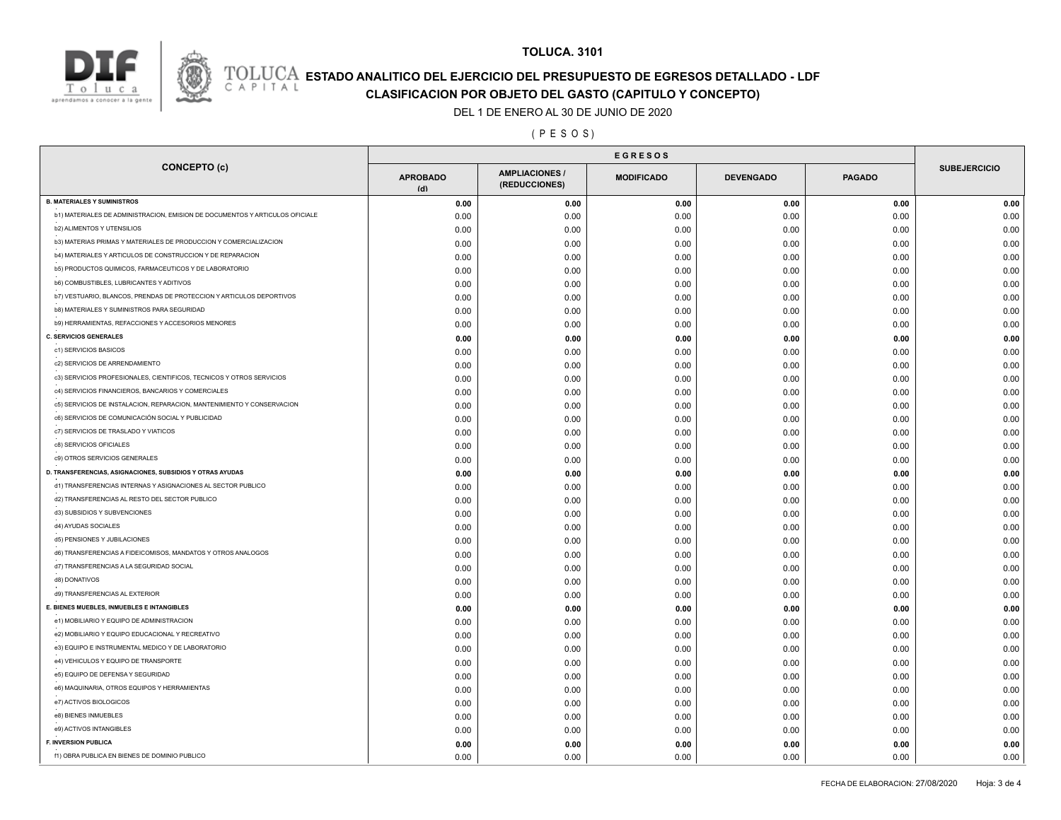

# **ESTADO ANALITICO DEL EJERCICIO DEL PRESUPUESTO DE EGRESOS DETALLADO - LDF**<br>CAPITAL CLASIFICACION POR OR IETO DEL GASTO (CARITILLO Y CONCERTO)

**CLASIFICACION POR OBJETO DEL GASTO (CAPITULO Y CONCEPTO)**

### DEL 1 DE ENERO AL 30 DE JUNIO DE 2020

### ( P E S O S )

| <b>CONCEPTO (c)</b>                                                          | <b>APROBADO</b><br>(d) | <b>AMPLIACIONES /</b><br>(REDUCCIONES) | <b>MODIFICADO</b> | <b>DEVENGADO</b> | <b>PAGADO</b> | <b>SUBEJERCICIO</b> |  |
|------------------------------------------------------------------------------|------------------------|----------------------------------------|-------------------|------------------|---------------|---------------------|--|
| <b>B. MATERIALES Y SUMINISTROS</b>                                           | 0.00                   | 0.00                                   | 0.00              | 0.00             | 0.00          | 0.00                |  |
| b1) MATERIALES DE ADMINISTRACION, EMISION DE DOCUMENTOS Y ARTICULOS OFICIALE | 0.00                   | 0.00                                   | 0.00              | 0.00             | 0.00          | 0.00                |  |
| b2) ALIMENTOS Y UTENSILIOS                                                   | 0.00                   | 0.00                                   | 0.00              | 0.00             | 0.00          | 0.00                |  |
| b3) MATERIAS PRIMAS Y MATERIALES DE PRODUCCION Y COMERCIALIZACION            | 0.00                   | 0.00                                   | 0.00              | 0.00             | 0.00          | 0.00                |  |
| b4) MATERIALES Y ARTICULOS DE CONSTRUCCION Y DE REPARACION                   | 0.00                   | 0.00                                   | 0.00              | 0.00             | 0.00          | 0.00                |  |
| b5) PRODUCTOS QUIMICOS, FARMACEUTICOS Y DE LABORATORIO                       | 0.00                   | 0.00                                   | 0.00              | 0.00             | 0.00          | 0.00                |  |
| b6) COMBUSTIBLES, LUBRICANTES Y ADITIVOS                                     | 0.00                   | 0.00                                   | 0.00              | 0.00             | 0.00          | 0.00                |  |
| b7) VESTUARIO, BLANCOS, PRENDAS DE PROTECCION Y ARTICULOS DEPORTIVOS         | 0.00                   | 0.00                                   | 0.00              | 0.00             | 0.00          | 0.00                |  |
| b8) MATERIALES Y SUMINISTROS PARA SEGURIDAD                                  | 0.00                   | 0.00                                   | 0.00              | 0.00             | 0.00          | 0.00                |  |
| b9) HERRAMIENTAS, REFACCIONES Y ACCESORIOS MENORES                           | 0.00                   | 0.00                                   | 0.00              | 0.00             | 0.00          | 0.00                |  |
| C. SERVICIOS GENERALES                                                       | 0.00                   | 0.00                                   | 0.00              | 0.00             | 0.00          | 0.00                |  |
| c1) SERVICIOS BASICOS                                                        | 0.00                   | 0.00                                   | 0.00              | 0.00             | 0.00          | 0.00                |  |
| c2) SERVICIOS DE ARRENDAMIENTO                                               | 0.00                   | 0.00                                   | 0.00              | 0.00             | 0.00          | 0.00                |  |
| c3) SERVICIOS PROFESIONALES, CIENTIFICOS, TECNICOS Y OTROS SERVICIOS         | 0.00                   | 0.00                                   | 0.00              | 0.00             | 0.00          | 0.00                |  |
| c4) SERVICIOS FINANCIEROS, BANCARIOS Y COMERCIALES                           | 0.00                   | 0.00                                   | 0.00              | 0.00             | 0.00          | 0.00                |  |
| c5) SERVICIOS DE INSTALACION, REPARACION, MANTENIMIENTO Y CONSERVACION       | 0.00                   | 0.00                                   | 0.00              | 0.00             | 0.00          | 0.00                |  |
| c6) SERVICIOS DE COMUNICACIÓN SOCIAL Y PUBLICIDAD                            | 0.00                   | 0.00                                   | 0.00              | 0.00             | 0.00          | 0.00                |  |
| c7) SERVICIOS DE TRASLADO Y VIATICOS                                         | 0.00                   | 0.00                                   | 0.00              | 0.00             | 0.00          | 0.00                |  |
| c8) SERVICIOS OFICIALES                                                      | 0.00                   | 0.00                                   | 0.00              | 0.00             | 0.00          | 0.00                |  |
| c9) OTROS SERVICIOS GENERALES                                                | 0.00                   | 0.00                                   | 0.00              | 0.00             | 0.00          | 0.00                |  |
| D. TRANSFERENCIAS, ASIGNACIONES, SUBSIDIOS Y OTRAS AYUDAS                    | 0.00                   | 0.00                                   | 0.00              | 0.00             | 0.00          | 0.00                |  |
| d1) TRANSFERENCIAS INTERNAS Y ASIGNACIONES AL SECTOR PUBLICO                 | 0.00                   | 0.00                                   | 0.00              | 0.00             | 0.00          | 0.00                |  |
| d2) TRANSFERENCIAS AL RESTO DEL SECTOR PUBLICO                               | 0.00                   | 0.00                                   | 0.00              | 0.00             | 0.00          | 0.00                |  |
| d3) SUBSIDIOS Y SUBVENCIONES                                                 | 0.00                   | 0.00                                   | 0.00              | 0.00             | 0.00          | 0.00                |  |
| d4) AYUDAS SOCIALES                                                          | 0.00                   | 0.00                                   | 0.00              | 0.00             | 0.00          | 0.00                |  |
| d5) PENSIONES Y JUBILACIONES                                                 | 0.00                   | 0.00                                   | 0.00              | 0.00             | 0.00          | 0.00                |  |
| d6) TRANSFERENCIAS A FIDEICOMISOS, MANDATOS Y OTROS ANALOGOS                 | 0.00                   | 0.00                                   | 0.00              | 0.00             | 0.00          | 0.00                |  |
| d7) TRANSFERENCIAS A LA SEGURIDAD SOCIAL                                     | 0.00                   | 0.00                                   | 0.00              | 0.00             | 0.00          | 0.00                |  |
| d8) DONATIVOS                                                                | 0.00                   | 0.00                                   | 0.00              | 0.00             | 0.00          | 0.00                |  |
| d9) TRANSFERENCIAS AL EXTERIOR                                               | 0.00                   | 0.00                                   | 0.00              | 0.00             | 0.00          | 0.00                |  |
| E. BIENES MUEBLES, INMUEBLES E INTANGIBLES                                   | 0.00                   | 0.00                                   |                   | 0.00             | 0.00          | 0.00                |  |
| e1) MOBILIARIO Y EQUIPO DE ADMINISTRACION                                    | 0.00                   | 0.00                                   | 0.00<br>0.00      | 0.00             | 0.00          | 0.00                |  |
| e2) MOBILIARIO Y EQUIPO EDUCACIONAL Y RECREATIVO                             | 0.00                   | 0.00                                   | 0.00              | 0.00             | 0.00          | 0.00                |  |
| e3) EQUIPO E INSTRUMENTAL MEDICO Y DE LABORATORIO                            |                        |                                        | 0.00              | 0.00             | 0.00          | 0.00                |  |
| e4) VEHICULOS Y EQUIPO DE TRANSPORTE                                         | 0.00<br>0.00           | 0.00<br>0.00                           |                   | 0.00             | 0.00          | 0.00                |  |
| e5) EQUIPO DE DEFENSA Y SEGURIDAD                                            | 0.00                   | 0.00                                   | 0.00<br>0.00      | 0.00             | 0.00          | 0.00                |  |
| e6) MAQUINARIA, OTROS EQUIPOS Y HERRAMIENTAS                                 |                        |                                        |                   |                  |               |                     |  |
| e7) ACTIVOS BIOLOGICOS                                                       | 0.00                   | 0.00                                   | 0.00              | 0.00             | 0.00          | 0.00                |  |
| e8) BIENES INMUEBLES                                                         | 0.00                   | 0.00                                   | 0.00              | 0.00             | 0.00          | 0.00                |  |
| e9) ACTIVOS INTANGIBLES                                                      | 0.00                   | 0.00                                   | 0.00              | 0.00             | 0.00          | 0.00                |  |
| F. INVERSION PUBLICA                                                         | 0.00                   | 0.00                                   | 0.00              | 0.00             | 0.00          | 0.00                |  |
| f1) OBRA PUBLICA EN BIENES DE DOMINIO PUBLICO                                | 0.00                   | 0.00                                   | 0.00              | 0.00             | 0.00          | 0.00                |  |
|                                                                              | 0.00                   | 0.00                                   | 0.00              | 0.00             | 0.00          | 0.00                |  |